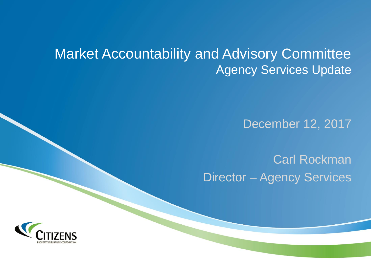# Market Accountability and Advisory Committee Agency Services Update

December 12, 2017

Carl Rockman Director – Agency Services

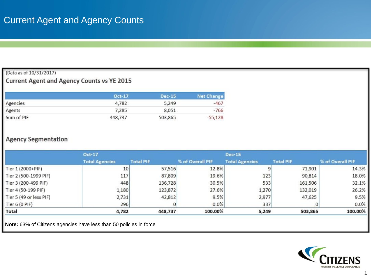#### (Data as of 10/31/2017)

### **Current Agent and Agency Counts vs YE 2015**

|            | Oct-17  | <b>Dec-15</b> | <b>Net Change</b> |
|------------|---------|---------------|-------------------|
| Agencies   | 4,782   | 5,249         | $-467$            |
| Agents     | 7,285   | 8,051         | $-766$            |
| Sum of PIF | 448,737 | 503,865       | $-55,128$         |

### **Agency Segmentation**

|                         | Oct-17                |                  |                  | <b>Dec-15</b>         |                  |                  |
|-------------------------|-----------------------|------------------|------------------|-----------------------|------------------|------------------|
|                         | <b>Total Agencies</b> | <b>Total PIF</b> | % of Overall PIF | <b>Total Agencies</b> | <b>Total PIF</b> | % of Overall PIF |
| Tier 1 (2000+PIF)       | 10 <sup>1</sup>       | 57,516           | 12.8%            |                       | 71,901           | 14.3%            |
| Tier 2 (500-1999 PIF)   | 117                   | 87,809           | 19.6%            | 123                   | 90,814           | 18.0%            |
| Tier 3 (200-499 PIF)    | 448                   | 136,728          | 30.5%            | 533                   | 161,506          | 32.1%            |
| Tier 4 (50-199 PIF)     | 1,180                 | 123,872          | 27.6%            | 1,270                 | 132,019          | 26.2%            |
| Tier 5 (49 or less PIF) | 2,731                 | 42,812           | 9.5%             | 2,977                 | 47,625           | 9.5%             |
| Tier $6(0$ PIF)         | 296                   |                  | 0.0%             | 337                   | 0                | 0.0%             |
| <b>Total</b>            | 4,782                 | 448,737          | 100.00%          | 5,249                 | 503,865          | 100.00%          |

**Note:** 63% of Citizens agencies have less than 50 policies in force

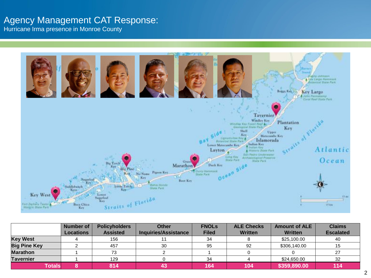## Agency Management CAT Response:

Hurricane Irma presence in Monroe County



| <b>Policyholders</b><br><b>Number of</b> |                  | <b>Other</b>    | <b>FNOLs</b>                | <b>ALE Checks</b> | <b>Amount of ALE</b> | <b>Claims</b>  |                  |
|------------------------------------------|------------------|-----------------|-----------------------------|-------------------|----------------------|----------------|------------------|
|                                          | <b>Locations</b> | <b>Assisted</b> | <b>Inquiries/Assistance</b> | <b>Filed</b>      | <b>Written</b>       | <b>Written</b> | <b>Escalated</b> |
| <b>Key West</b>                          |                  | 156             |                             | 34                |                      | \$25,100.00    | 40               |
| <b>Big Pine Key</b>                      |                  | 457             | 30                          | 95                | 92                   | \$306,140.00   | 15               |
| <b>Marathon</b>                          |                  | 73              |                             |                   |                      |                | 27               |
| Tavernier                                |                  | 129             |                             | 34                |                      | \$24,650.00    | 32               |
| <b>Totals</b>                            |                  | 814             |                             | 164               | 104                  | \$359,890.00   | 114              |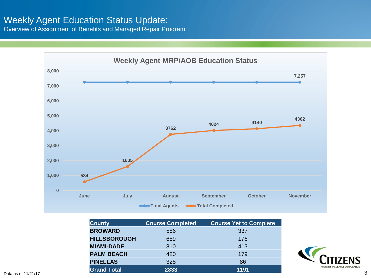## Weekly Agent Education Status Update:

Overview of Assignment of Benefits and Managed Repair Program



| <b>County</b>       | <b>Course Completed</b> | <b>Course Yet to Complete</b> |
|---------------------|-------------------------|-------------------------------|
| <b>BROWARD</b>      | 586                     | 337                           |
| <b>HILLSBOROUGH</b> | 689                     | 176                           |
| <b>MIAMI-DADE</b>   | 810                     | 413                           |
| <b>PALM BEACH</b>   | 420                     | 179                           |
| <b>PINELLAS</b>     | 328                     | 86                            |
| <b>Grand Total</b>  | 2833                    | 1191                          |

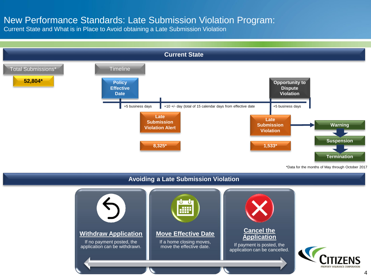### New Performance Standards: Late Submission Violation Program:

Current State and What is in Place to Avoid obtaining a Late Submission Violation



\*Data for the months of May through October 2017

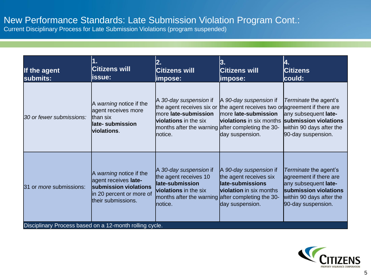## New Performance Standards: Late Submission Violation Program Cont.:

Current Disciplinary Process for Late Submission Violations (program suspended)

| If the agent<br>submits:                                | 1.<br><b>Citizens will</b><br>issue:                                                                                       | 2.<br><b>Citizens will</b><br>impose:                                                                                                                                        | 3.<br><b>Citizens will</b><br> impose:                                                                                                            | 4.<br><b>Citizens</b><br>could:                                                                                                                    |
|---------------------------------------------------------|----------------------------------------------------------------------------------------------------------------------------|------------------------------------------------------------------------------------------------------------------------------------------------------------------------------|---------------------------------------------------------------------------------------------------------------------------------------------------|----------------------------------------------------------------------------------------------------------------------------------------------------|
| 30 or fewer submissions:                                | A warning notice if the<br>agent receives more<br>than six<br>late-submission<br>violations.                               | A 30-day suspension if<br>the agent receives six or<br>more late-submission<br><b>violations</b> in the six<br>months after the warning after completing the 30-<br>Inotice. | A 90-day suspension if<br>the agent receives two or agreement if there are<br>more late-submission<br>violations in six months<br>day suspension. | Terminate the agent's<br>any subsequent late-<br>submission violations<br>within 90 days after the<br>90-day suspension.                           |
| 31 or <i>more</i> submissions:                          | A warning notice if the<br>agent receives late-<br>submission violations<br>in 20 percent or more of<br>their submissions. | A 30-day suspension if<br>the agent receives 10<br>late-submission<br><b>violations</b> in the six<br>months after the warning after completing the 30-<br>Inotice.          | A 90-day suspension if<br>the agent receives six<br>late-submissions<br><b>violation</b> in six months<br>day suspension.                         | Terminate the agent's<br>agreement if there are<br>any subsequent late-<br>submission violations<br>within 90 days after the<br>90-day suspension. |
| Disciplinary Process based on a 12-month rolling cycle. |                                                                                                                            |                                                                                                                                                                              |                                                                                                                                                   |                                                                                                                                                    |

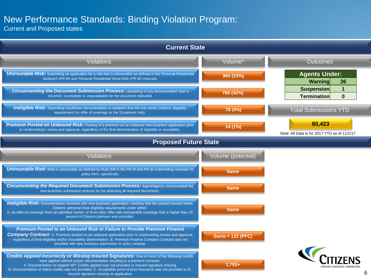## New Performance Standards: Binding Violation Program:

Current and Proposed states

| <b>Current State</b>                                                                                                                                                                                                                                                                                                                                                                                                                                   |                    |                                                              |
|--------------------------------------------------------------------------------------------------------------------------------------------------------------------------------------------------------------------------------------------------------------------------------------------------------------------------------------------------------------------------------------------------------------------------------------------------------|--------------------|--------------------------------------------------------------|
| <b>Violations</b>                                                                                                                                                                                                                                                                                                                                                                                                                                      | Volume*            | <b>Outcomes</b>                                              |
| <b>Uninsurable Risk:</b> Submitting an application for a risk that is uninsurable as defined in the Personal Residential<br>Multiperil (PR-M) and Personal Residential Wind-Only (PR-W) manuals.                                                                                                                                                                                                                                                       | 965 (53%)          | <b>Agents Under:</b><br>Warning<br>26                        |
| <b>Circumventing the Document Submission Process:</b> Uploading of any documentation that is<br>incorrect, incomplete or unacceptable for the document indicated.                                                                                                                                                                                                                                                                                      | 766 (42%)          | <b>Suspension</b><br>1<br><b>Termination</b><br>$\mathbf{0}$ |
| <b>Ineligible Risk:</b> Submitting insufficient documentation to establish that the risk meets Citizens' eligibility<br>requirement (no offer of coverage or the 15-percent rule).                                                                                                                                                                                                                                                                     | 78 (4%)            | <b>Total Submissions YTD</b>                                 |
| Premium Posted on Unbound Risk: Posting of a premium on an unbound new-business application prior<br>to Underwriting's review and approval, regardless of the final determination of eligibility or insurability.                                                                                                                                                                                                                                      | 14 (1%)            | 80,423<br>Note: All Data is for 2017 YTD as of 11/1/17       |
| <b>Proposed Future State</b>                                                                                                                                                                                                                                                                                                                                                                                                                           |                    |                                                              |
| <b>Violations</b>                                                                                                                                                                                                                                                                                                                                                                                                                                      | Volume (potential) |                                                              |
| <b>Uninsurable Risk:</b> Risk is uninsurable as defined by Rule 208 in the PR-M and PR-W underwriting manuals for<br>policy form, specifically.                                                                                                                                                                                                                                                                                                        | <b>Same</b>        |                                                              |
| <b>Circumventing the Required Document Submission Process: Agent/Agency circumvented the</b><br>new-business submission process by not attaching all required documents.                                                                                                                                                                                                                                                                               | <b>Same</b>        |                                                              |
| <b>Ineligible Risk:</b> Documentation received with new-business application, verifying that the named insured meets<br>Citizens' personal lines eligibility requirements under either:<br>A. no-offer-of-coverage from an admitted carrier; or B.no other offer with comparable coverage that is higher than 15<br>percent of Citizens premium was provided.                                                                                          | <b>Same</b>        |                                                              |
| Premium Posted to an Unbound Risk or Failure to Provide Premium Finance<br><b>Company Contract:</b> A. Premium posted on an unbound application prior to Underwriting review and approval,<br>regardless of final eligibility and/or insurability determination. B. Premium Finance Company Contract was not<br>provided with new business submission or policy renewal.                                                                               | Same + 122 (PFC)   |                                                              |
| <b>Credits Applied Incorrectly or Missing Insured Signatures:</b> One or more of the following credits<br>were applied without proper documentation resulting in a premium increase.<br>A. Documentation to support MIT Credits applied was not provided or insured signature missing<br>B. Documentation of Alarm credits was not provided, C. Acceptable proof of prior insurance was not provided or D.<br>Insured signature missing on application | $1,793+$           | 6                                                            |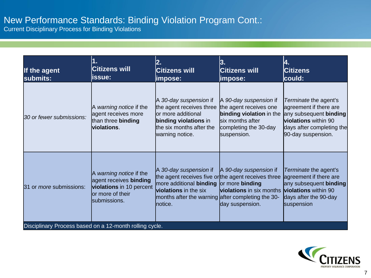# New Performance Standards: Binding Violation Program Cont.:

Current Disciplinary Process for Binding Violations

| If the agent<br>submits:                                | 1.<br><b>Citizens will</b><br>issue:                                                                                     | 2.<br><b>Citizens will</b><br>impose:                                                                                                                                                                                                  | 3.<br><b>Citizens will</b><br>impose:                                                                                                    | 4.<br><b>Citizens</b><br>could:                                                                                                                                    |
|---------------------------------------------------------|--------------------------------------------------------------------------------------------------------------------------|----------------------------------------------------------------------------------------------------------------------------------------------------------------------------------------------------------------------------------------|------------------------------------------------------------------------------------------------------------------------------------------|--------------------------------------------------------------------------------------------------------------------------------------------------------------------|
| 30 or fewer submissions:                                | A warning notice if the<br>agent receives more<br>than three binding<br>violations.                                      | A 30-day suspension if<br>the agent receives three<br>or more additional<br>binding violations in<br>the six months after the<br>warning notice.                                                                                       | A 90-day suspension if<br>the agent receives one<br>binding violation in the<br>six months after<br>completing the 30-day<br>suspension. | Terminate the agent's<br>agreement if there are<br>any subsequent <b>binding</b><br><b>violations</b> within 90<br>days after completing the<br>90-day suspension. |
| 31 or <i>more</i> submissions:                          | A warning notice if the<br>agent receives binding<br><b>violations</b> in 10 percent<br>or more of their<br>submissions. | A 30-day suspension if<br>the agent receives five or the agent receives three<br>more additional <b>binding</b> or more <b>binding</b><br><b>violations</b> in the six<br>months after the warning after completing the 30-<br>notice. | A 90-day suspension if<br><b>violations</b> in six months<br>day suspension.                                                             | Terminate the agent's<br>agreement if there are<br>any subsequent <b>binding</b><br><b>violations</b> within 90<br>days after the 90-day<br>suspension             |
| Disciplinary Process based on a 12-month rolling cycle. |                                                                                                                          |                                                                                                                                                                                                                                        |                                                                                                                                          |                                                                                                                                                                    |